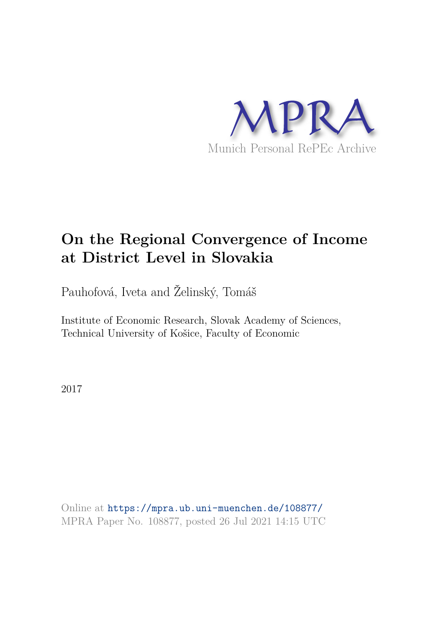

# **On the Regional Convergence of Income at District Level in Slovakia**

Pauhofová, Iveta and Želinský, Tomáš

Institute of Economic Research, Slovak Academy of Sciences, Technical University of Košice, Faculty of Economic

2017

Online at https://mpra.ub.uni-muenchen.de/108877/ MPRA Paper No. 108877, posted 26 Jul 2021 14:15 UTC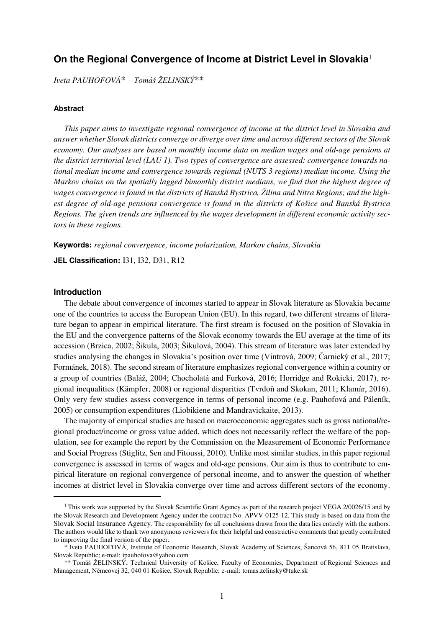## **On the Regional Convergence of Income at District Level in Slovakia**<sup>1</sup>

*Iveta PAUHOFOVÁ*\* *– Tomáš ŽELINSKÝ*\*\*

#### **Abstract**

*This paper aims to investigate regional convergence of income at the district level in Slovakia and answer whether Slovak districts converge or diverge over time and across different sectors of the Slovak economy. Our analyses are based on monthly income data on median wages and old-age pensions at the district territorial level (LAU 1). Two types of convergence are assessed: convergence towards national median income and convergence towards regional (NUTS 3 regions) median income. Using the Markov chains on the spatially lagged bimonthly district medians, we find that the highest degree of wages convergence is found in the districts of Banská Bystrica, Žilina and Nitra Regions; and the highest degree of old-age pensions convergence is found in the districts of Košice and Banská Bystrica Regions. The given trends are influenced by the wages development in different economic activity sectors in these regions.* 

**Keywords:** *regional convergence, income polarization, Markov chains, Slovakia* 

**JEL Classification:** I31, I32, D31, R12

## **Introduction**

<u>.</u>

 The debate about convergence of incomes started to appear in Slovak literature as Slovakia became one of the countries to access the European Union (EU). In this regard, two different streams of literature began to appear in empirical literature. The first stream is focused on the position of Slovakia in the EU and the convergence patterns of the Slovak economy towards the EU average at the time of its accession (Brzica, 2002; Šikula, 2003; Šikulová, 2004). This stream of literature was later extended by studies analysing the changes in Slovakia's position over time (Vintrová, 2009; Čarnický et al., 2017; Formánek, 2018). The second stream of literature emphasizes regional convergence within a country or a group of countries (Baláž, 2004; Chocholatá and Furková, 2016; Horridge and Rokicki, 2017), regional inequalities (Kämpfer, 2008) or regional disparities (Tvrdoň and Skokan, 2011; Klamár, 2016). Only very few studies assess convergence in terms of personal income (e.g. Pauhofová and Páleník, 2005) or consumption expenditures (Liobikiene and Mandravickaite, 2013).

 The majority of empirical studies are based on macroeconomic aggregates such as gross national/regional product/income or gross value added, which does not necessarily reflect the welfare of the population, see for example the report by the Commission on the Measurement of Economic Performance and Social Progress (Stiglitz, Sen and Fitoussi, 2010). Unlike most similar studies, in this paper regional convergence is assessed in terms of wages and old-age pensions. Our aim is thus to contribute to empirical literature on regional convergence of personal income, and to answer the question of whether incomes at district level in Slovakia converge over time and across different sectors of the economy.

<sup>&</sup>lt;sup>1</sup> This work was supported by the Slovak Scientific Grant Agency as part of the research project VEGA 2/0026/15 and by the Slovak Research and Development Agency under the contract No. APVV-0125-12. This study is based on data from the Slovak Social Insurance Agency. The responsibility for all conclusions drawn from the data lies entirely with the authors. The authors would like to thank two anonymous reviewers for their helpful and constructive comments that greatly contributed to improving the final version of the paper.

 <sup>\*</sup> Iveta PAUHOFOVÁ, Institute of Economic Research, Slovak Academy of Sciences, Šancová 56, 811 05 Bratislava, Slovak Republic; e-mail: ipauhofova@yahoo.com

 <sup>\*\*</sup> Tomáš ŽELINSKÝ, Technical University of Košice, Faculty of Economics, Department of Regional Sciences and Management, Němcovej 32, 040 01 Košice, Slovak Republic; e-mail: [tomas.zelinsky@tuke.sk](mailto:tomas.zelinsky@tuke.sk)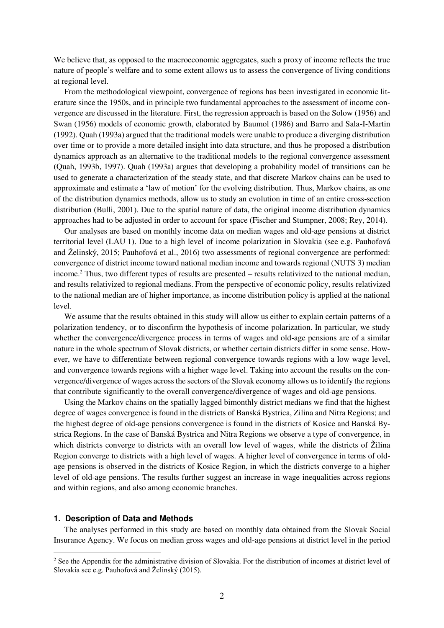We believe that, as opposed to the macroeconomic aggregates, such a proxy of income reflects the true nature of people's welfare and to some extent allows us to assess the convergence of living conditions at regional level.

 From the methodological viewpoint, convergence of regions has been investigated in economic literature since the 1950s, and in principle two fundamental approaches to the assessment of income convergence are discussed in the literature. First, the regression approach is based on the Solow (1956) and Swan (1956) models of economic growth, elaborated by Baumol (1986) and Barro and Sala-I-Martin (1992). Quah (1993a) argued that the traditional models were unable to produce a diverging distribution over time or to provide a more detailed insight into data structure, and thus he proposed a distribution dynamics approach as an alternative to the traditional models to the regional convergence assessment (Quah, 1993b, 1997). Quah (1993a) argues that developing a probability model of transitions can be used to generate a characterization of the steady state, and that discrete Markov chains can be used to approximate and estimate a 'law of motion' for the evolving distribution. Thus, Markov chains, as one of the distribution dynamics methods, allow us to study an evolution in time of an entire cross-section distribution (Bulli, 2001). Due to the spatial nature of data, the original income distribution dynamics approaches had to be adjusted in order to account for space (Fischer and Stumpner, 2008; Rey, 2014).

 Our analyses are based on monthly income data on median wages and old-age pensions at district territorial level (LAU 1). Due to a high level of income polarization in Slovakia (see e.g. Pauhofová and Želinský, 2015; Pauhofová et al., 2016) two assessments of regional convergence are performed: convergence of district income toward national median income and towards regional (NUTS 3) median income.<sup>2</sup> Thus, two different types of results are presented – results relativized to the national median, and results relativized to regional medians. From the perspective of economic policy, results relativized to the national median are of higher importance, as income distribution policy is applied at the national level.

 We assume that the results obtained in this study will allow us either to explain certain patterns of a polarization tendency, or to disconfirm the hypothesis of income polarization. In particular, we study whether the convergence/divergence process in terms of wages and old-age pensions are of a similar nature in the whole spectrum of Slovak districts, or whether certain districts differ in some sense. However, we have to differentiate between regional convergence towards regions with a low wage level, and convergence towards regions with a higher wage level. Taking into account the results on the convergence/divergence of wages across the sectors of the Slovak economy allows us to identify the regions that contribute significantly to the overall convergence/divergence of wages and old-age pensions.

 Using the Markov chains on the spatially lagged bimonthly district medians we find that the highest degree of wages convergence is found in the districts of Banská Bystrica, Zilina and Nitra Regions; and the highest degree of old-age pensions convergence is found in the districts of Kosice and Banská Bystrica Regions. In the case of Banská Bystrica and Nitra Regions we observe a type of convergence, in which districts converge to districts with an overall low level of wages, while the districts of Žilina Region converge to districts with a high level of wages. A higher level of convergence in terms of oldage pensions is observed in the districts of Kosice Region, in which the districts converge to a higher level of old-age pensions. The results further suggest an increase in wage inequalities across regions and within regions, and also among economic branches.

#### **1. Description of Data and Methods**

<u>.</u>

 The analyses performed in this study are based on monthly data obtained from the Slovak Social Insurance Agency. We focus on median gross wages and old-age pensions at district level in the period

 $2^2$  See the Appendix for the administrative division of Slovakia. For the distribution of incomes at district level of Slovakia see e.g. Pauhofová and Želinský (2015).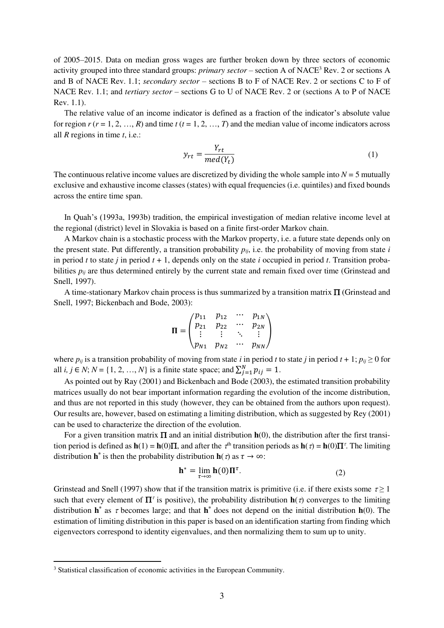of 2005–2015. Data on median gross wages are further broken down by three sectors of economic activity grouped into three standard groups: *primary sector* – section A of NACE<sup>3</sup> Rev. 2 or sections A and B of NACE Rev. 1.1; *secondary sector* – sections B to F of NACE Rev. 2 or sections C to F of NACE Rev. 1.1; and *tertiary sector* – sections G to U of NACE Rev. 2 or (sections A to P of NACE Rev. 1.1).

The relative value of an income indicator is defined as a fraction of the indicator's absolute value for region  $r$  ( $r = 1, 2, ..., R$ ) and time  $t$  ( $t = 1, 2, ..., T$ ) and the median value of income indicators across all *R* regions in time *t*, i.e.:

$$
y_{rt} = \frac{Y_{rt}}{med(Y_t)}\tag{1}
$$

The continuous relative income values are discretized by dividing the whole sample into  $N = 5$  mutually exclusive and exhaustive income classes (states) with equal frequencies (i.e. quintiles) and fixed bounds across the entire time span.

In Quah's (1993a, 1993b) tradition, the empirical investigation of median relative income level at the regional (district) level in Slovakia is based on a finite first-order Markov chain.

 A Markov chain is a stochastic process with the Markov property, i.e. a future state depends only on the present state. Put differently, a transition probability  $p_{ij}$ , i.e. the probability of moving from state *i* in period  $t$  to state  $j$  in period  $t + 1$ , depends only on the state  $i$  occupied in period  $t$ . Transition probabilities  $p_{ij}$  are thus determined entirely by the current state and remain fixed over time (Grinstead and Snell, 1997).

A time-stationary Markov chain process is thus summarized by a transition matrix  $\Pi$  (Grinstead and Snell, 1997; Bickenbach and Bode, 2003):

$$
\Pi = \begin{pmatrix} p_{11} & p_{12} & \cdots & p_{1N} \\ p_{21} & p_{22} & \cdots & p_{2N} \\ \vdots & \vdots & \ddots & \vdots \\ p_{N1} & p_{N2} & \cdots & p_{NN} \end{pmatrix}
$$

where  $p_{ij}$  is a transition probability of moving from state *i* in period *t* to state *j* in period  $t + 1$ ;  $p_{ij} \ge 0$  for all *i*, *j* ∈ *N*; *N* = {1, 2, …, *N*} is a finite state space; and  $\sum_{j=1}^{N} p_{ij} = 1$ .

 As pointed out by Ray (2001) and Bickenbach and Bode (2003), the estimated transition probability matrices usually do not bear important information regarding the evolution of the income distribution, and thus are not reported in this study (however, they can be obtained from the authors upon request). Our results are, however, based on estimating a limiting distribution, which as suggested by Rey (2001) can be used to characterize the direction of the evolution.

For a given transition matrix  $\Pi$  and an initial distribution  $h(0)$ , the distribution after the first transition period is defined as  $h(1) = h(0)\Pi$ , and after the  $\tau^{\text{th}}$  transition periods as  $h(\tau) = h(0)\Pi^{\tau}$ . The limiting distribution **h**<sup>\*</sup> is then the probability distribution **h**( $\tau$ ) as  $\tau \to \infty$ :

$$
\mathbf{h}^* = \lim_{\tau \to \infty} \mathbf{h}(0) \Pi^{\tau}.
$$
 (2)

Grinstead and Snell (1997) show that if the transition matrix is primitive (i.e. if there exists some  $\tau \geq 1$ such that every element of  $\Pi^{\tau}$  is positive), the probability distribution  $h(\tau)$  converges to the limiting distribution  $h^*$  as  $\tau$  becomes large; and that  $h^*$  does not depend on the initial distribution  $h(0)$ . The estimation of limiting distribution in this paper is based on an identification starting from finding which eigenvectors correspond to identity eigenvalues, and then normalizing them to sum up to unity.

<u>.</u>

<sup>&</sup>lt;sup>3</sup> Statistical classification of economic activities in the European Community.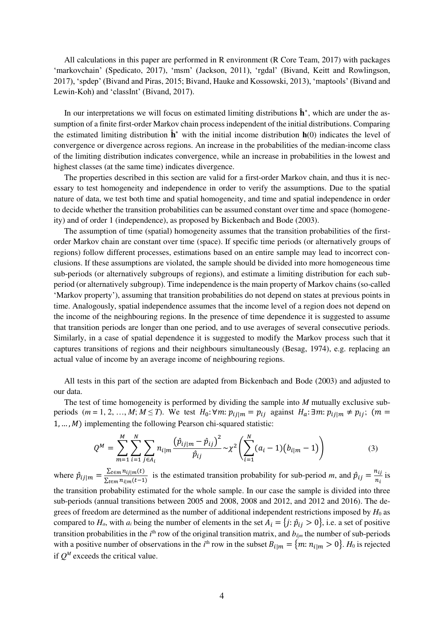All calculations in this paper are performed in R environment (R Core Team, 2017) with packages 'markovchain' (Spedicato, 2017), 'msm' (Jackson, 2011), 'rgdal' (Bivand, Keitt and Rowlingson, 2017), 'spdep' (Bivand and Piras, 2015; Bivand, Hauke and Kossowski, 2013), 'maptools' (Bivand and Lewin-Koh) and 'classInt' (Bivand, 2017).

In our interpretations we will focus on estimated limiting distributions  $\hat{\mathbf{h}}^*$ , which are under the assumption of a finite first-order Markov chain process independent of the initial distributions. Comparing the estimated limiting distribution  $\mathbf{h}^*$  with the initial income distribution  $\mathbf{h}(0)$  indicates the level of convergence or divergence across regions. An increase in the probabilities of the median-income class of the limiting distribution indicates convergence, while an increase in probabilities in the lowest and highest classes (at the same time) indicates divergence.

 The properties described in this section are valid for a first-order Markov chain, and thus it is necessary to test homogeneity and independence in order to verify the assumptions. Due to the spatial nature of data, we test both time and spatial homogeneity, and time and spatial independence in order to decide whether the transition probabilities can be assumed constant over time and space (homogeneity) and of order 1 (independence), as proposed by Bickenbach and Bode (2003).

 The assumption of time (spatial) homogeneity assumes that the transition probabilities of the firstorder Markov chain are constant over time (space). If specific time periods (or alternatively groups of regions) follow different processes, estimations based on an entire sample may lead to incorrect conclusions. If these assumptions are violated, the sample should be divided into more homogeneous time sub-periods (or alternatively subgroups of regions), and estimate a limiting distribution for each subperiod (or alternatively subgroup). Time independence is the main property of Markov chains (so-called 'Markov property'), assuming that transition probabilities do not depend on states at previous points in time. Analogously, spatial independence assumes that the income level of a region does not depend on the income of the neighbouring regions. In the presence of time dependence it is suggested to assume that transition periods are longer than one period, and to use averages of several consecutive periods. Similarly, in a case of spatial dependence it is suggested to modify the Markov process such that it captures transitions of regions and their neighbours simultaneously (Besag, 1974), e.g. replacing an actual value of income by an average income of neighbouring regions.

 All tests in this part of the section are adapted from Bickenbach and Bode (2003) and adjusted to our data.

 The test of time homogeneity is performed by dividing the sample into *M* mutually exclusive subperiods  $(m = 1, 2, ..., M; M \leq T)$ . We test  $H_0: \forall m: p_{ij|m} = p_{ij}$  against  $H_a: \exists m: p_{ij|m} \neq p_{ij}$ ;  $(m =$  $1, \ldots, M$ ) implementing the following Pearson chi-squared statistic:

$$
Q^{M} = \sum_{m=1}^{M} \sum_{i=1}^{N} \sum_{j \in A_{i}} n_{i|m} \frac{\left(\hat{p}_{ij|m} - \hat{p}_{ij}\right)^{2}}{\hat{p}_{ij}} \sim \chi^{2} \left(\sum_{i=1}^{N} (a_{i} - 1)(b_{i|m} - 1)\right)
$$
(3)

where  $\hat{p}_{ij|m} = \frac{\sum_{t \in m} n_{ij|m}(t)}{\sum_{t \in m} n_{ijm}(t-1)}$  $\frac{\sum_{t \in m} n_{ij|m}(t)}{\sum_{t \in m} n_{ij|m}(t-1)}$  is the estimated transition probability for sub-period *m*, and  $\hat{p}_{ij} = \frac{n_{ij}}{n_i}$  $\frac{n_{ij}}{n_i}$  is the transition probability estimated for the whole sample. In our case the sample is divided into three sub-periods (annual transitions between 2005 and 2008, 2008 and 2012, and 2012 and 2016). The degrees of freedom are determined as the number of additional independent restrictions imposed by *H*<sup>0</sup> as compared to  $H_a$ , with  $a_i$  being the number of elements in the set  $A_i = \{j : \hat{p}_{ij} > 0\}$ , i.e. a set of positive transition probabilities in the  $i<sup>th</sup>$  row of the original transition matrix, and  $b_{i|m}$  the number of sub-periods with a positive number of observations in the *i*<sup>th</sup> row in the subset  $B_{i|m} = \{m: n_{i|m} > 0\}$ .  $H_0$  is rejected if  $Q^M$  exceeds the critical value.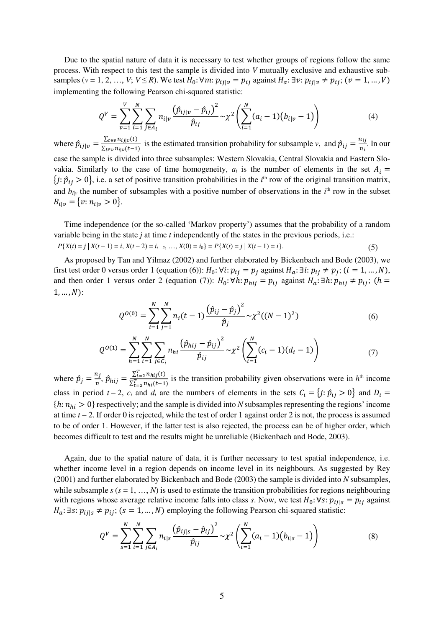Due to the spatial nature of data it is necessary to test whether groups of regions follow the same process. With respect to this test the sample is divided into *V* mutually exclusive and exhaustive subsamples (*v* = 1, 2, …, *V*; *V*  $\leq$  *R*). We test  $H_0: \forall m: p_{ij|v} = p_{ij}$  against  $H_a: \exists v: p_{ij|v} \neq p_{ij}$ ; (*v* = 1, …, *V*) implementing the following Pearson chi-squared statistic:

$$
Q^{V} = \sum_{\nu=1}^{V} \sum_{i=1}^{N} \sum_{j \in A_{i}} n_{i|\nu} \frac{\left(\hat{p}_{ij|\nu} - \hat{p}_{ij}\right)^{2}}{\hat{p}_{ij}} \sim \chi^{2} \left(\sum_{i=1}^{N} (a_{i} - 1)(b_{i|\nu} - 1)\right)
$$
(4)

where  $\hat{p}_{ij|v} = \frac{\sum_{t \in v} n_{ij|v}(t)}{\sum_{t \in v} n_{ij|v}(t-1)}$  $\frac{\sum_{t \in v} n_{ij|v}(t)}{\sum_{t \in v} n_{i|v}(t-1)}$  is the estimated transition probability for subsample *v*, and  $\hat{p}_{ij} = \frac{n_{ij}}{n_i}$  $\frac{n_{ij}}{n_i}$ . In our case the sample is divided into three subsamples: Western Slovakia, Central Slovakia and Eastern Slovakia. Similarly to the case of time homogeneity,  $a_i$  is the number of elements in the set  $A_i =$  ${j:\hat{p}_{ij} > 0}$ , i.e. a set of positive transition probabilities in the *i*<sup>th</sup> row of the original transition matrix, and  $b_{i|v}$  the number of subsamples with a positive number of observations in the  $i<sup>th</sup>$  row in the subset  $B_{i|v} = \{v: n_{i|v} > 0\}.$ 

 Time independence (or the so-called 'Markov property') assumes that the probability of a random variable being in the state *j* at time *t* independently of the states in the previous periods, i.e.:  $P{X(t) = j | X(t-1) = i, X(t-2) = i_{t-2}, ..., X(0) = i_0} = P{X(t) = j | X(t-1) = i}.$  (5)

 As proposed by Tan and Yilmaz (2002) and further elaborated by Bickenbach and Bode (2003), we first test order 0 versus order 1 (equation (6)):  $H_0: \forall i: p_{ij} = p_j$  against  $H_a: \exists i: p_{ij} \neq p_j$ ;  $(i = 1, ..., N)$ , and then order 1 versus order 2 (equation (7)):  $H_0: \forall h: p_{hij} = p_{ij}$  against  $H_a: \exists h: p_{hij} \neq p_{ij}$ ; (h =  $1, \ldots, N$ :

$$
Q^{O(0)} = \sum_{i=1}^{N} \sum_{j=1}^{N} n_i (t-1) \frac{(\hat{p}_{ij} - \hat{p}_j)^2}{\hat{p}_j} \sim \chi^2 ((N-1)^2)
$$
 (6)

$$
Q^{O(1)} = \sum_{h=1}^{N} \sum_{i=1}^{N} \sum_{j \in C_i} n_{hi} \frac{(\hat{p}_{hij} - \hat{p}_{ij})^2}{\hat{p}_{ij}} \sim \chi^2 \left( \sum_{i=1}^{N} (c_i - 1)(d_i - 1) \right)
$$
(7)

where  $\hat{p}_j = \frac{n_j}{n}$  $\frac{n_j}{n}$ ,  $\hat{p}_{hij} = \frac{\sum_{t=2}^{T} n_{hij}(t)}{\sum_{t=2}^{T} n_{hi}(t-1)}$ is the transition probability given observations were in  $h<sup>th</sup>$  income class in period  $t - 2$ ,  $c_i$  and  $d_i$  are the numbers of elements in the sets  $C_i = \{j : \hat{p}_{ij} > 0\}$  and  $D_i =$  ${h: n_{hi} > 0}$  respectively; and the sample is divided into *N* subsamples representing the regions' income at time  $t - 2$ . If order 0 is rejected, while the test of order 1 against order 2 is not, the process is assumed to be of order 1. However, if the latter test is also rejected, the process can be of higher order, which becomes difficult to test and the results might be unreliable (Bickenbach and Bode, 2003).

 Again, due to the spatial nature of data, it is further necessary to test spatial independence, i.e. whether income level in a region depends on income level in its neighbours. As suggested by Rey (2001) and further elaborated by Bickenbach and Bode (2003) the sample is divided into *N* subsamples, while subsample  $s$  ( $s = 1, ..., N$ ) is used to estimate the transition probabilities for regions neighbouring with regions whose average relative income falls into class *s*. Now, we test  $H_0: \forall s: p_{ij|s} = p_{ij}$  against  $H_a$ : ∃s:  $p_{ij|s} \neq p_{ij}$ ; (s = 1, ..., N) employing the following Pearson chi-squared statistic:

$$
Q^V = \sum_{s=1}^N \sum_{i=1}^N \sum_{j \in A_i} n_{i|s} \frac{(\hat{p}_{ij|s} - \hat{p}_{ij})^2}{\hat{p}_{ij}} \sim \chi^2 \left( \sum_{i=1}^N (a_i - 1)(b_{i|s} - 1) \right)
$$
(8)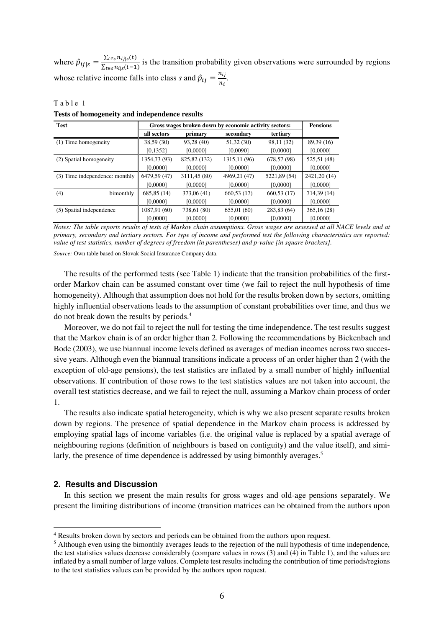where  $\hat{p}_{ij|s} = \frac{\sum_{t \in s} n_{ij|s}(t)}{\sum_{t \in s} n_{ij|s}(t-1)}$  $\frac{\sum_{t \in S} n_{t|S}(t)}{\sum_{t \in S} n_{t|S}(t-1)}$  is the transition probability given observations were surrounded by regions whose relative income falls into class *s* and  $\hat{p}_{ij} = \frac{n_{ij}}{n_i}$  $\frac{n_{ij}}{n_i}$ .

Table 1 **Tests of homogeneity and independence results**

| <b>Test</b>                    | Gross wages broken down by economic activity sectors: | <b>Pensions</b> |               |              |              |
|--------------------------------|-------------------------------------------------------|-----------------|---------------|--------------|--------------|
|                                | all sectors                                           | primary         | secondary     | tertiary     |              |
| (1) Time homogeneity           | 38,59 (30)                                            | 93,28 (40)      | 51,32 (30)    | 98,11 (32)   | 89,39 (16)   |
|                                | [0, 1352]                                             | [0.0000]        | [0,0090]      | [0,0000]     | [0,0000]     |
| (2) Spatial homogeneity        | 1354,73 (93)                                          | 825, 82 (132)   | 1315, 11 (96) | 678,57 (98)  | 525,51 (48)  |
|                                | [0,0000]                                              | [0,0000]        | [0,0000]      | [0,0000]     | [0,0000]     |
| (3) Time independence: monthly | 6479.59 (47)                                          | 3111,45 (80)    | 4969,21 (47)  | 5221,89 (54) | 2421,20 (14) |
|                                | [0.0000]                                              | [0.0000]        | [0,0000]      | [0,0000]     | [0,0000]     |
| bimonthly<br>(4)               | 685,85 (14)                                           | 373,06 (41)     | 660,53 (17)   | 660,53 (17)  | 714,39 (14)  |
|                                | [0,0000]                                              | [0,0000]        | [0,0000]      | [0,0000]     | [0,0000]     |
| (5) Spatial independence       | 1087,91 (60)                                          | 738,61 (80)     | 655,01(60)    | 283,83 (64)  | 365,16(28)   |
|                                | [0.0000]                                              | [0.0000]        | [0.0000]      | [0.0000]     | [0,0000]     |

*Notes: The table reports results of tests of Markov chain assumptions. Gross wages are assessed at all NACE levels and at primary, secondary and tertiary sectors. For type of income and performed test the following characteristics are reported: value of test statistics, number of degrees of freedom (in parentheses) and p-value [in square brackets].* 

*Source:* Own table based on Slovak Social Insurance Company data.

 The results of the performed tests (see Table 1) indicate that the transition probabilities of the firstorder Markov chain can be assumed constant over time (we fail to reject the null hypothesis of time homogeneity). Although that assumption does not hold for the results broken down by sectors, omitting highly influential observations leads to the assumption of constant probabilities over time, and thus we do not break down the results by periods.<sup>4</sup>

 Moreover, we do not fail to reject the null for testing the time independence. The test results suggest that the Markov chain is of an order higher than 2. Following the recommendations by Bickenbach and Bode (2003), we use biannual income levels defined as averages of median incomes across two successive years. Although even the biannual transitions indicate a process of an order higher than 2 (with the exception of old-age pensions), the test statistics are inflated by a small number of highly influential observations. If contribution of those rows to the test statistics values are not taken into account, the overall test statistics decrease, and we fail to reject the null, assuming a Markov chain process of order 1.

 The results also indicate spatial heterogeneity, which is why we also present separate results broken down by regions. The presence of spatial dependence in the Markov chain process is addressed by employing spatial lags of income variables (i.e. the original value is replaced by a spatial average of neighbouring regions (definition of neighbours is based on contiguity) and the value itself), and similarly, the presence of time dependence is addressed by using bimonthly averages.<sup>5</sup>

## **2. Results and Discussion**

<u>.</u>

 In this section we present the main results for gross wages and old-age pensions separately. We present the limiting distributions of income (transition matrices can be obtained from the authors upon

<sup>&</sup>lt;sup>4</sup> Results broken down by sectors and periods can be obtained from the authors upon request.

<sup>&</sup>lt;sup>5</sup> Although even using the bimonthly averages leads to the rejection of the null hypothesis of time independence, the test statistics values decrease considerably (compare values in rows (3) and (4) in Table 1), and the values are inflated by a small number of large values. Complete test results including the contribution of time periods/regions to the test statistics values can be provided by the authors upon request.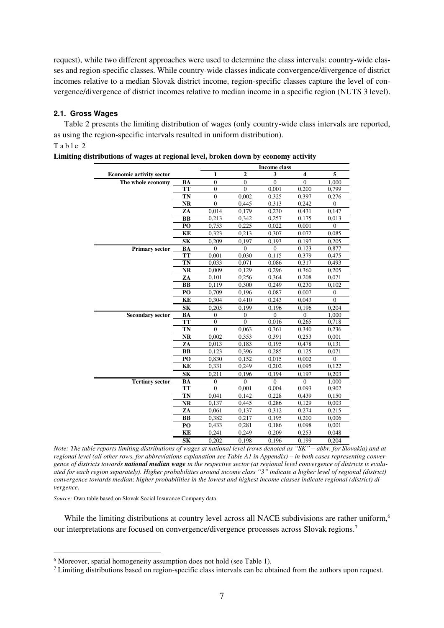request), while two different approaches were used to determine the class intervals: country-wide classes and region-specific classes. While country-wide classes indicate convergence/divergence of district incomes relative to a median Slovak district income, region-specific classes capture the level of convergence/divergence of district incomes relative to median income in a specific region (NUTS 3 level).

## **2.1. Gross Wages**

 Table 2 presents the limiting distribution of wages (only country-wide class intervals are reported, as using the region-specific intervals resulted in uniform distribution). Table 2

|                                 |           | <b>Income class</b> |                |              |                         |                  |
|---------------------------------|-----------|---------------------|----------------|--------------|-------------------------|------------------|
| <b>Economic activity sector</b> |           | 1                   | $\mathbf{2}$   | 3            | $\overline{\mathbf{4}}$ | 5                |
| The whole economy               | <b>BA</b> | $\overline{0}$      | $\overline{0}$ | $\Omega$     | $\theta$                | 1,000            |
|                                 | <b>TT</b> | $\overline{0}$      | $\overline{0}$ | 0,001        | 0,200                   | 0,799            |
|                                 | TN        | $\overline{0}$      | 0,002          | 0,325        | 0,397                   | 0,276            |
|                                 | <b>NR</b> | $\overline{0}$      | 0,445          | 0,313        | 0.242                   | $\mathbf{0}$     |
|                                 | ZA        | 0,014               | 0,179          | 0,230        | 0,431                   | 0,147            |
|                                 | <b>BB</b> | 0.213               | 0,342          | 0,257        | 0.175                   | 0,013            |
|                                 | PO        | 0,753               | 0,225          | 0,022        | 0,001                   | $\theta$         |
|                                 | <b>KE</b> | 0,323               | 0,213          | 0,307        | 0,072                   | 0,085            |
|                                 | <b>SK</b> | 0,209               | 0,197          | 0,193        | 0,197                   | 0,205            |
| <b>Primary sector</b>           | BA        | $\mathbf{0}$        | $\Omega$       | $\Omega$     | 0,123                   | 0,877            |
|                                 | <b>TT</b> | 0,001               | 0,030          | 0,115        | 0,379                   | 0,475            |
|                                 | TN        | 0,033               | 0,071          | 0,086        | 0,317                   | 0,493            |
|                                 | NR        | 0,009               | 0,129          | 0,296        | 0,360                   | 0,205            |
|                                 | ZA        | 0,101               | 0,256          | 0,364        | 0,208                   | 0,071            |
|                                 | BB        | 0,119               | 0,300          | 0,249        | 0,230                   | 0,102            |
|                                 | PO        | 0,709               | 0,196          | 0,087        | 0,007                   | $\boldsymbol{0}$ |
|                                 | KE        | 0,304               | 0,410          | 0,243        | 0.043                   | $\overline{0}$   |
|                                 | <b>SK</b> | 0,205               | 0,199          | 0,196        | 0,196                   | 0,204            |
| <b>Secondary sector</b>         | BA        | $\mathbf{0}$        | $\mathbf{0}$   | $\mathbf{0}$ | $\overline{0}$          | 1,000            |
|                                 | <b>TT</b> | $\Omega$            | $\Omega$       | 0,016        | 0,265                   | 0,718            |
|                                 | TN        | $\mathbf{0}$        | 0,063          | 0,361        | 0,340                   | 0,236            |
|                                 | <b>NR</b> | 0,002               | 0,353          | 0.391        | 0,253                   | 0,001            |
|                                 | ZA        | 0,013               | 0,183          | 0,195        | 0,478                   | 0,131            |
|                                 | <b>BB</b> | 0.123               | 0,396          | 0,285        | 0.125                   | 0.071            |
|                                 | PO        | 0,830               | 0,152          | 0,015        | 0,002                   | 0                |
|                                 | KE        | 0,331               | 0,249          | 0,202        | 0,095                   | 0,122            |
|                                 | <b>SK</b> | 0,211               | 0,196          | 0.194        | 0.197                   | 0,203            |
| <b>Tertiary sector</b>          | BA        | $\overline{0}$      | $\mathbf{0}$   | $\mathbf{0}$ | $\overline{0}$          | 1,000            |
|                                 | <b>TT</b> | $\theta$            | 0,001          | 0,004        | 0,093                   | 0,902            |
|                                 | TN        | 0,041               | 0,142          | 0,228        | 0.439                   | 0,150            |
|                                 | NR        | 0,137               | 0,445          | 0,286        | 0,129                   | 0,003            |
|                                 | ZA        | 0,061               | 0,137          | 0,312        | 0,274                   | 0,215            |
|                                 | <b>BB</b> | 0,382               | 0,217          | 0,195        | 0,200                   | 0,006            |
|                                 | PO        | 0,433               | 0,281          | 0,186        | 0,098                   | 0,001            |
|                                 | KE        | 0,241               | 0,249          | 0,209        | 0,253                   | 0,048            |
|                                 | <b>SK</b> | 0,202               | 0,198          | 0,196        | 0,199                   | 0,204            |

|  |  |  | Limiting distributions of wages at regional level, broken down by economy activity |
|--|--|--|------------------------------------------------------------------------------------|
|  |  |  |                                                                                    |
|  |  |  |                                                                                    |
|  |  |  |                                                                                    |

*Note: The table reports limiting distributions of wages at national level (rows denoted as "SK" – abbr. for Slovakia) and at regional level (all other rows, for abbreviations explanation see Table A1 in Appendix) – in both cases representing convergence of districts towards national median wage in the respective sector (at regional level convergence of districts is evaluated for each region separately). Higher probabilities around income class "3" indicate a higher level of regional (district) convergence towards median; higher probabilities in the lowest and highest income classes indicate regional (district) divergence.* 

*Source:* Own table based on Slovak Social Insurance Company data.

<u>.</u>

While the limiting distributions at country level across all NACE subdivisions are rather uniform,<sup>6</sup> our interpretations are focused on convergence/divergence processes across Slovak regions.<sup>7</sup>

<sup>&</sup>lt;sup>6</sup> Moreover, spatial homogeneity assumption does not hold (see Table 1).

 $<sup>7</sup>$  Limiting distributions based on region-specific class intervals can be obtained from the authors upon request.</sup>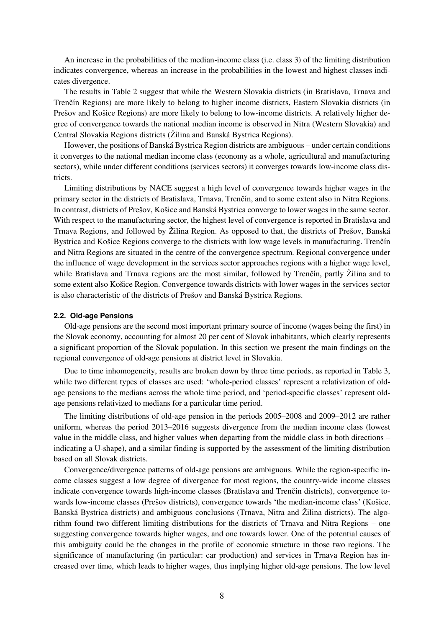An increase in the probabilities of the median-income class (i.e. class 3) of the limiting distribution indicates convergence, whereas an increase in the probabilities in the lowest and highest classes indicates divergence.

 The results in Table 2 suggest that while the Western Slovakia districts (in Bratislava, Trnava and Trenčín Regions) are more likely to belong to higher income districts, Eastern Slovakia districts (in Prešov and Košice Regions) are more likely to belong to low-income districts. A relatively higher degree of convergence towards the national median income is observed in Nitra (Western Slovakia) and Central Slovakia Regions districts (Žilina and Banská Bystrica Regions).

 However, the positions of Banská Bystrica Region districts are ambiguous – under certain conditions it converges to the national median income class (economy as a whole, agricultural and manufacturing sectors), while under different conditions (services sectors) it converges towards low-income class districts.

 Limiting distributions by NACE suggest a high level of convergence towards higher wages in the primary sector in the districts of Bratislava, Trnava, Trenčín, and to some extent also in Nitra Regions. In contrast, districts of Prešov, Košice and Banská Bystrica converge to lower wages in the same sector. With respect to the manufacturing sector, the highest level of convergence is reported in Bratislava and Trnava Regions, and followed by Žilina Region. As opposed to that, the districts of Prešov, Banská Bystrica and Košice Regions converge to the districts with low wage levels in manufacturing. Trenčín and Nitra Regions are situated in the centre of the convergence spectrum. Regional convergence under the influence of wage development in the services sector approaches regions with a higher wage level, while Bratislava and Trnava regions are the most similar, followed by Trenčín, partly Žilina and to some extent also Košice Region. Convergence towards districts with lower wages in the services sector is also characteristic of the districts of Prešov and Banská Bystrica Regions.

#### **2.2. Old-age Pensions**

 Old-age pensions are the second most important primary source of income (wages being the first) in the Slovak economy, accounting for almost 20 per cent of Slovak inhabitants, which clearly represents a significant proportion of the Slovak population. In this section we present the main findings on the regional convergence of old-age pensions at district level in Slovakia.

 Due to time inhomogeneity, results are broken down by three time periods, as reported in Table 3, while two different types of classes are used: 'whole-period classes' represent a relativization of oldage pensions to the medians across the whole time period, and 'period-specific classes' represent oldage pensions relativized to medians for a particular time period.

The limiting distributions of old-age pension in the periods 2005–2008 and 2009–2012 are rather uniform, whereas the period 2013–2016 suggests divergence from the median income class (lowest value in the middle class, and higher values when departing from the middle class in both directions – indicating a U-shape), and a similar finding is supported by the assessment of the limiting distribution based on all Slovak districts.

 Convergence/divergence patterns of old-age pensions are ambiguous. While the region-specific income classes suggest a low degree of divergence for most regions, the country-wide income classes indicate convergence towards high-income classes (Bratislava and Trenčín districts), convergence towards low-income classes (Prešov districts), convergence towards 'the median-income class' (Košice, Banská Bystrica districts) and ambiguous conclusions (Trnava, Nitra and Žilina districts). The algorithm found two different limiting distributions for the districts of Trnava and Nitra Regions – one suggesting convergence towards higher wages, and onc towards lower. One of the potential causes of this ambiguity could be the changes in the profile of economic structure in those two regions. The significance of manufacturing (in particular: car production) and services in Trnava Region has increased over time, which leads to higher wages, thus implying higher old-age pensions. The low level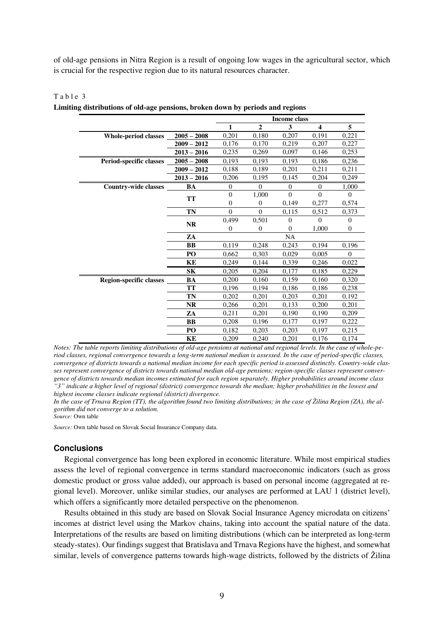of old-age pensions in Nitra Region is a result of ongoing low wages in the agricultural sector, which is crucial for the respective region due to its natural resources character.

|                                |                | Income class |                |           |                         |              |
|--------------------------------|----------------|--------------|----------------|-----------|-------------------------|--------------|
|                                |                | 1            | $\overline{2}$ | 3         | $\overline{\mathbf{4}}$ | 5            |
| <b>Whole-period classes</b>    | $2005 - 2008$  | 0,201        | 0,180          | 0,207     | 0,191                   | 0,221        |
|                                | $2009 - 2012$  | 0,176        | 0,170          | 0,219     | 0,207                   | 0,227        |
|                                | $2013 - 2016$  | 0,235        | 0,269          | 0,097     | 0,146                   | 0,253        |
| Period-specific classes        | $2005 - 2008$  | 0,193        | 0,193          | 0,193     | 0,186                   | 0,236        |
|                                | $2009 - 2012$  | 0,188        | 0,189          | 0,201     | 0,211                   | 0,211        |
|                                | $2013 - 2016$  | 0,206        | 0,195          | 0,145     | 0,204                   | 0,249        |
| <b>Country-wide classes</b>    | BA             | $\mathbf{0}$ | $\mathbf{0}$   | $\theta$  | $\theta$                | 1,000        |
|                                |                | $\theta$     | 1,000          | $\Omega$  | $\Omega$                | $\Omega$     |
|                                | <b>TT</b>      | $\theta$     | $\mathbf{0}$   | 0,149     | 0,277                   | 0,574        |
|                                | TN             | $\theta$     | $\Omega$       | 0,115     | 0,512                   | 0,373        |
|                                | <b>NR</b>      | 0,499        | 0,501          | 0         | 0                       | $\theta$     |
|                                |                | $\mathbf{0}$ | $\mathbf{0}$   | $\Omega$  | 1,000                   | $\mathbf{0}$ |
|                                | ZA             |              |                | <b>NA</b> |                         |              |
|                                | BB             | 0,119        | 0,248          | 0,243     | 0,194                   | 0,196        |
|                                | P <sub>O</sub> | 0,662        | 0,303          | 0,029     | 0,005                   | $\Omega$     |
|                                | KE             | 0,249        | 0,144          | 0,339     | 0,246                   | 0,022        |
|                                | <b>SK</b>      | 0,205        | 0,204          | 0,177     | 0,185                   | 0,229        |
| <b>Region-specific classes</b> | BA             | 0,200        | 0,160          | 0,159     | 0,160                   | 0,320        |
|                                | <b>TT</b>      | 0.196        | 0.194          | 0.186     | 0,186                   | 0,238        |
|                                | TN             | 0,202        | 0,201          | 0,203     | 0,201                   | 0,192        |
|                                | <b>NR</b>      | 0,266        | 0,201          | 0,133     | 0,200                   | 0,201        |
|                                | ZA             | 0,211        | 0,201          | 0,190     | 0,190                   | 0,209        |
|                                | <b>BB</b>      | 0.208        | 0.196          | 0.177     | 0.197                   | 0,222        |
|                                | P <sub>O</sub> | 0,182        | 0,203          | 0,203     | 0,197                   | 0,215        |
|                                | KE             | 0,209        | 0,240          | 0,201     | 0,176                   | 0,174        |

Table 3 **Limiting distributions of old-age pensions, broken down by periods and regions** 

*Notes: The table reports limiting distributions of old-age pensions at national and regional levels. In the case of whole-period classes, regional convergence towards a long-term national median is assessed. In the case of period-specific classes, convergence of districts towards a national median income for each specific period is assessed distinctly. Country-wide classes represent convergence of districts towards national median old-age pensions; region-specific classes represent convergence of districts towards median incomes estimated for each region separately. Higher probabilities around income class "3" indicate a higher level of regional (district) convergence towards the median; higher probabilities in the lowest and highest income classes indicate regional (district) divergence.* 

In the case of Trnava Region (TT), the algorithm found two limiting distributions; in the case of Žilina Region (ZA), the al*gorithm did not converge to a solution.* 

*Source:* Own table

*Source:* Own table based on Slovak Social Insurance Company data.

## **Conclusions**

 Regional convergence has long been explored in economic literature. While most empirical studies assess the level of regional convergence in terms standard macroeconomic indicators (such as gross domestic product or gross value added), our approach is based on personal income (aggregated at regional level). Moreover, unlike similar studies, our analyses are performed at LAU 1 (district level), which offers a significantly more detailed perspective on the phenomenon.

Results obtained in this study are based on Slovak Social Insurance Agency microdata on citizens' incomes at district level using the Markov chains, taking into account the spatial nature of the data. Interpretations of the results are based on limiting distributions (which can be interpreted as long-term steady-states). Our findings suggest that Bratislava and Trnava Regions have the highest, and somewhat similar, levels of convergence patterns towards high-wage districts, followed by the districts of Žilina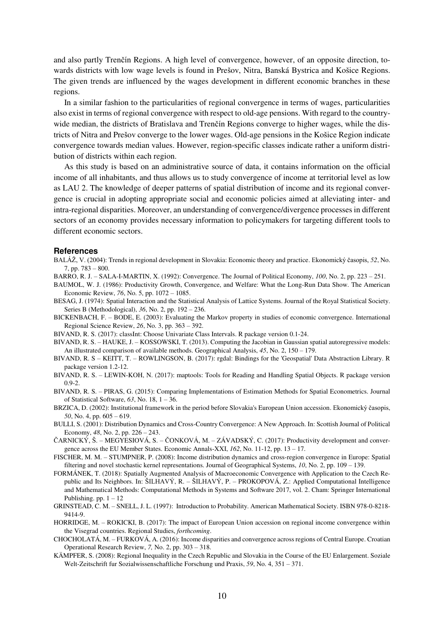and also partly Trenčín Regions. A high level of convergence, however, of an opposite direction, towards districts with low wage levels is found in Prešov, Nitra, Banská Bystrica and Košice Regions. The given trends are influenced by the wages development in different economic branches in these regions.

 In a similar fashion to the particularities of regional convergence in terms of wages, particularities also exist in terms of regional convergence with respect to old-age pensions. With regard to the countrywide median, the districts of Bratislava and Trenčín Regions converge to higher wages, while the districts of Nitra and Prešov converge to the lower wages. Old-age pensions in the Košice Region indicate convergence towards median values. However, region-specific classes indicate rather a uniform distribution of districts within each region.

 As this study is based on an administrative source of data, it contains information on the official income of all inhabitants, and thus allows us to study convergence of income at territorial level as low as LAU 2. The knowledge of deeper patterns of spatial distribution of income and its regional convergence is crucial in adopting appropriate social and economic policies aimed at alleviating inter- and intra-regional disparities. Moreover, an understanding of convergence/divergence processes in different sectors of an economy provides necessary information to policymakers for targeting different tools to different economic sectors.

#### **References**

- BALÁŽ, V. (2004): Trends in regional development in Slovakia: Economic theory and practice. Ekonomický časopis, *52*, No. 7, pp. 783 – 800.
- BARRO, R. J. SALA-I-MARTIN, X. (1992): Convergence. The Journal of Political Economy, *100*, No. 2, pp. 223 251.
- BAUMOL, W. J. (1986): Productivity Growth, Convergence, and Welfare: What the Long-Run Data Show. The American Economic Review, *76*, No. 5, pp. 1072 – 1085.
- BESAG, J. (1974): Spatial Interaction and the Statistical Analysis of Lattice Systems. Journal of the Royal Statistical Society. Series B (Methodological), *36*, No. 2, pp. 192 – 236.
- BICKENBACH, F. BODE, E. (2003): Evaluating the Markov property in studies of economic convergence. International Regional Science Review, *26*, No. 3, pp. 363 – 392.
- BIVAND, R. S. (2017): classInt: Choose Univariate Class Intervals. R package version 0.1-24.
- BIVAND, R. S. HAUKE, J. KOSSOWSKI, T. (2013). Computing the Jacobian in Gaussian spatial autoregressive models: An illustrated comparison of available methods. Geographical Analysis, *45*, No. 2, 150 – 179.
- BIVAND, R. S KEITT, T. ROWLINGSON, B. (2017): rgdal: Bindings for the 'Geospatial' Data Abstraction Library. R package version 1.2-12.
- BIVAND, R. S. LEWIN-KOH, N. (2017): maptools: Tools for Reading and Handling Spatial Objects. R package version 0.9-2.
- BIVAND, R. S. PIRAS, G. (2015): Comparing Implementations of Estimation Methods for Spatial Econometrics. Journal of Statistical Software, *63*, No. 18, 1 – 36.
- BRZICA, D. (2002): Institutional framework in the period before Slovakia's European Union accession. Ekonomický časopis, *50*, No. 4, pp. 605 – 619.
- BULLI, S. (2001): Distribution Dynamics and Cross-Country Convergence: A New Approach. In: Scottish Journal of Political Economy, *48*, No. 2, pp. 226 – 243.
- ČARNICKÝ, Š. MEGYESIOVÁ, S. ČONKOVÁ, M. ZÁVADSKÝ, C. (2017): Productivity development and convergence across the EU Member States. Economic Annals-XXI, *162*, No. 11-12, pp. 13 – 17.
- FISCHER, M. M. STUMPNER, P. (2008): Income distribution dynamics and cross-region convergence in Europe: Spatial filtering and novel stochastic kernel representations. Journal of Geographical Systems, *10*, No. 2, pp. 109 – 139.
- FORMÁNEK, T. (2018): Spatially Augmented Analysis of Macroeconomic Convergence with Application to the Czech Republic and Its Neighbors. In: ŠILHAVÝ, R. – ŠILHAVÝ, P. – PROKOPOVÁ, Z.: Applied Computational Intelligence and Mathematical Methods: Computational Methods in Systems and Software 2017, vol. 2. Cham: Springer International Publishing. pp.  $1 - 12$
- GRINSTEAD, C. M. SNELL, J. L. (1997): Introduction to Probability. American Mathematical Society. ISBN 978-0-8218- 9414-9.
- HORRIDGE, M. ROKICKI, B. (2017): The impact of European Union accession on regional income convergence within the Visegrad countries. Regional Studies, *forthcoming*.
- CHOCHOLATÁ, M. FURKOVÁ, A. (2016): Income disparities and convergence across regions of Central Europe. Croatian Operational Research Review, *7,* No. 2, pp. 303 – 318.
- KÄMPFER, S. (2008): Regional Inequality in the Czech Republic and Slovakia in the Course of the EU Enlargement. Soziale Welt-Zeitschrift fur Sozialwissenschaftliche Forschung und Praxis, *59*, No. 4, 351 – 371.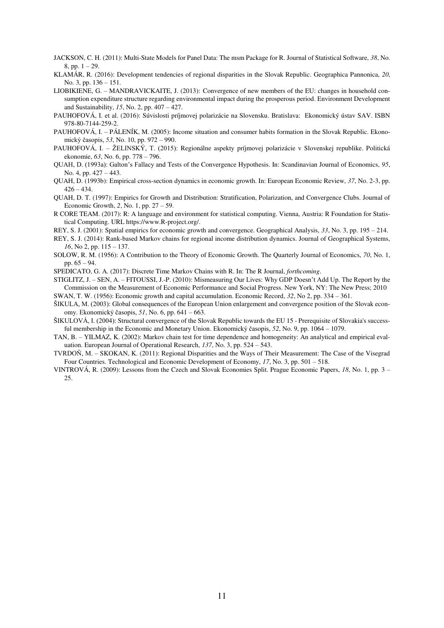- JACKSON, C. H. (2011): Multi-State Models for Panel Data: The msm Package for R. Journal of Statistical Software, *38*, No. 8, pp.  $1 - 29$ .
- KLAMÁR, R. (2016): Development tendencies of regional disparities in the Slovak Republic. Geographica Pannonica, *20*, No. 3, pp. 136 – 151.
- LIOBIKIENE, G. MANDRAVICKAITE, J. (2013): Convergence of new members of the EU: changes in household consumption expenditure structure regarding environmental impact during the prosperous period. Environment Development and Sustainability, *15*, No. 2, pp. 407 – 427.
- PAUHOFOVÁ, I. et al. (2016): Súvislosti príjmovej polarizácie na Slovensku. Bratislava: Ekonomický ústav SAV. ISBN 978-80-7144-259-2.
- PAUHOFOVÁ, I. PÁLENÍK, M. (2005): Income situation and consumer habits formation in the Slovak Republic. Ekonomický časopis, *53*, No. 10, pp. 972 – 990.
- PAUHOFOVÁ, I. ŽELINSKÝ, T. (2015): Regionálne aspekty príjmovej polarizácie v Slovenskej republike. Politická ekonomie, *63*, No. 6, pp. 778 – 796.
- QUAH, D. (1993a): Galton's Fallacy and Tests of the Convergence Hypothesis. In: Scandinavian Journal of Economics, *95*, No. 4, pp. 427 – 443.
- QUAH, D. (1993b): Empirical cross-section dynamics in economic growth. In: European Economic Review, *37*, No. 2-3, pp.  $426 - 434.$
- QUAH, D. T. (1997): Empirics for Growth and Distribution: Stratification, Polarization, and Convergence Clubs. Journal of Economic Growth, *2*, No. 1, pp. 27 – 59.
- R CORE TEAM. (2017): R: A language and environment for statistical computing. Vienna, Austria: R Foundation for Statistical Computing. URL https://www.R-project.org/.
- REY, S. J. (2001): Spatial empirics for economic growth and convergence. Geographical Analysis, *33*, No. 3, pp. 195 214.
- REY, S. J. (2014): Rank-based Markov chains for regional income distribution dynamics. Journal of Geographical Systems, *16*, No 2, pp. 115 – 137.
- SOLOW, R. M. (1956): A Contribution to the Theory of Economic Growth. The Quarterly Journal of Economics, *70*, No. 1, pp. 65 – 94.

SPEDICATO, G. A. (2017): Discrete Time Markov Chains with R. In: The R Journal, *forthcoming*.

STIGLITZ, J. – SEN, A. – FITOUSSI, J.-P. (2010): Mismeasuring Our Lives: Why GDP Doesn't Add Up. The Report by the Commission on the Measurement of Economic Performance and Social Progress. New York, NY: The New Press; 2010 SWAN, T. W. (1956): Economic growth and capital accumulation. Economic Record, *32*, No 2, pp. 334 – 361.

ŠIKULA, M. (2003): Global consequences of the European Union enlargement and convergence position of the Slovak econ-

omy. Ekonomický časopis, *51*, No. 6, pp. 641 – 663.

- ŠIKULOVÁ, I. (2004): Structural convergence of the Slovak Republic towards the EU 15 Prerequisite of Slovakia's successful membership in the Economic and Monetary Union. Ekonomický časopis, *52*, No. 9, pp. 1064 – 1079.
- TAN, B. YILMAZ, K. (2002): Markov chain test for time dependence and homogeneity: An analytical and empirical evaluation. European Journal of Operational Research, *137*, No. 3, pp. 524 – 543.
- TVRDOŇ, M. SKOKAN, K. (2011): Regional Disparities and the Ways of Their Measurement: The Case of the Visegrad Four Countries. Technological and Economic Development of Economy, *17*, No. 3, pp. 501 – 518.
- VINTROVÁ, R. (2009): Lessons from the Czech and Slovak Economies Split. Prague Economic Papers, *18*, No. 1, pp. 3 25.